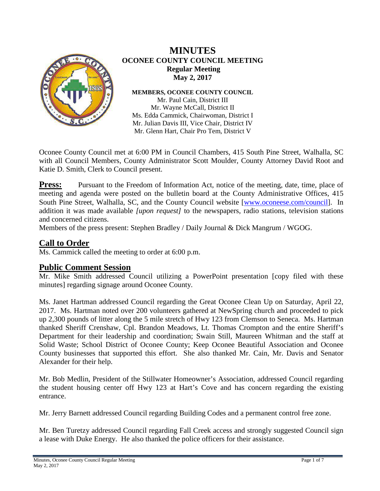

## **MINUTES OCONEE COUNTY COUNCIL MEETING Regular Meeting May 2, 2017**

**MEMBERS, OCONEE COUNTY COUNCIL**

Mr. Paul Cain, District III Mr. Wayne McCall, District II Ms. Edda Cammick, Chairwoman, District I Mr. Julian Davis III, Vice Chair, District IV Mr. Glenn Hart, Chair Pro Tem, District V

Oconee County Council met at 6:00 PM in Council Chambers, 415 South Pine Street, Walhalla, SC with all Council Members, County Administrator Scott Moulder, County Attorney David Root and Katie D. Smith, Clerk to Council present.

**Press:** Pursuant to the Freedom of Information Act, notice of the meeting, date, time, place of meeting and agenda were posted on the bulletin board at the County Administrative Offices, 415 South Pine Street, Walhalla, SC, and the County Council website [\[www.oconeese.com/council\]](http://www.oconeese.com/council). In addition it was made available *[upon request]* to the newspapers, radio stations, television stations and concerned citizens.

Members of the press present: Stephen Bradley / Daily Journal & Dick Mangrum / WGOG.

# **Call to Order**

Ms. Cammick called the meeting to order at 6:00 p.m.

**Public Comment Session**<br>Mr. Mike Smith addressed Council utilizing a PowerPoint presentation [copy filed with these minutes] regarding signage around Oconee County.

Ms. Janet Hartman addressed Council regarding the Great Oconee Clean Up on Saturday, April 22, 2017. Ms. Hartman noted over 200 volunteers gathered at NewSpring church and proceeded to pick up 2,300 pounds of litter along the 5 mile stretch of Hwy 123 from Clemson to Seneca. Ms. Hartman thanked Sheriff Crenshaw, Cpl. Brandon Meadows, Lt. Thomas Crompton and the entire Sheriff's Department for their leadership and coordination; Swain Still, Maureen Whitman and the staff at Solid Waste; School District of Oconee County; Keep Oconee Beautiful Association and Oconee County businesses that supported this effort. She also thanked Mr. Cain, Mr. Davis and Senator Alexander for their help.

Mr. Bob Medlin, President of the Stillwater Homeowner's Association, addressed Council regarding the student housing center off Hwy 123 at Hart's Cove and has concern regarding the existing entrance.

Mr. Jerry Barnett addressed Council regarding Building Codes and a permanent control free zone.

Mr. Ben Turetzy addressed Council regarding Fall Creek access and strongly suggested Council sign a lease with Duke Energy. He also thanked the police officers for their assistance.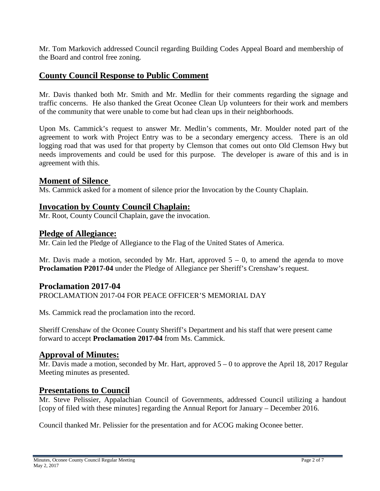Mr. Tom Markovich addressed Council regarding Building Codes Appeal Board and membership of the Board and control free zoning.

## **County Council Response to Public Comment**

Mr. Davis thanked both Mr. Smith and Mr. Medlin for their comments regarding the signage and traffic concerns. He also thanked the Great Oconee Clean Up volunteers for their work and members of the community that were unable to come but had clean ups in their neighborhoods.

Upon Ms. Cammick's request to answer Mr. Medlin's comments, Mr. Moulder noted part of the agreement to work with Project Entry was to be a secondary emergency access. There is an old logging road that was used for that property by Clemson that comes out onto Old Clemson Hwy but needs improvements and could be used for this purpose. The developer is aware of this and is in agreement with this.

### **Moment of Silence**

Ms. Cammick asked for a moment of silence prior the Invocation by the County Chaplain.

### **Invocation by County Council Chaplain:**

Mr. Root, County Council Chaplain, gave the invocation.

#### **Pledge of Allegiance:**

Mr. Cain led the Pledge of Allegiance to the Flag of the United States of America.

Mr. Davis made a motion, seconded by Mr. Hart, approved  $5 - 0$ , to amend the agenda to move **Proclamation P2017-04** under the Pledge of Allegiance per Sheriff's Crenshaw's request.

#### **Proclamation 2017-04**

PROCLAMATION 2017-04 FOR PEACE OFFICER'S MEMORIAL DAY

Ms. Cammick read the proclamation into the record.

Sheriff Crenshaw of the Oconee County Sheriff's Department and his staff that were present came forward to accept **Proclamation 2017-04** from Ms. Cammick.

#### **Approval of Minutes:**

Mr. Davis made a motion, seconded by Mr. Hart, approved  $5 - 0$  to approve the April 18, 2017 Regular Meeting minutes as presented.

#### **Presentations to Council**

Mr. Steve Pelissier, Appalachian Council of Governments, addressed Council utilizing a handout [copy of filed with these minutes] regarding the Annual Report for January – December 2016.

Council thanked Mr. Pelissier for the presentation and for ACOG making Oconee better.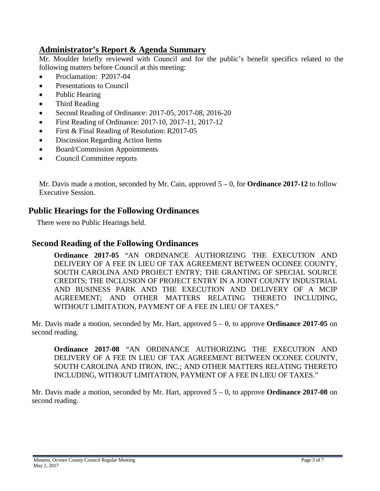# **Administrator's Report & Agenda Summary**

Mr. Moulder briefly reviewed with Council and for the public's benefit specifics related to the following matters before Council at this meeting:

- Proclamation: P2017-04
- Presentations to Council
- Public Hearing
- Third Reading
- Second Reading of Ordinance: 2017-05, 2017-08, 2016-20
- First Reading of Ordinance: 2017-10, 2017-11, 2017-12
- First & Final Reading of Resolution: R2017-05
- Discussion Regarding Action Items
- Board/Commission Appointments
- Council Committee reports

Mr. Davis made a motion, seconded by Mr. Cain, approved 5 – 0, for **Ordinance 2017-12** to follow Executive Session.

## **Public Hearings for the Following Ordinances**

There were no Public Hearings held.

## **Second Reading of the Following Ordinances**

**Ordinance 2017-05** "AN ORDINANCE AUTHORIZING THE EXECUTION AND DELIVERY OF A FEE IN LIEU OF TAX AGREEMENT BETWEEN OCONEE COUNTY, SOUTH CAROLINA AND PROJECT ENTRY; THE GRANTING OF SPECIAL SOURCE CREDITS; THE INCLUSION OF PROJECT ENTRY IN A JOINT COUNTY INDUSTRIAL AND BUSINESS PARK AND THE EXECUTION AND DELIVERY OF A MCIP AGREEMENT; AND OTHER MATTERS RELATING THERETO INCLUDING, WITHOUT LIMITATION, PAYMENT OF A FEE IN LIEU OF TAXES."

Mr. Davis made a motion, seconded by Mr. Hart, approved 5 – 0, to approve **Ordinance 2017-05** on second reading.

**Ordinance 2017-08** "AN ORDINANCE AUTHORIZING THE EXECUTION AND DELIVERY OF A FEE IN LIEU OF TAX AGREEMENT BETWEEN OCONEE COUNTY, SOUTH CAROLINA AND ITRON, INC.; AND OTHER MATTERS RELATING THERETO INCLUDING, WITHOUT LIMITATION, PAYMENT OF A FEE IN LIEU OF TAXES."

Mr. Davis made a motion, seconded by Mr. Hart, approved 5 – 0, to approve **Ordinance 2017-08** on second reading.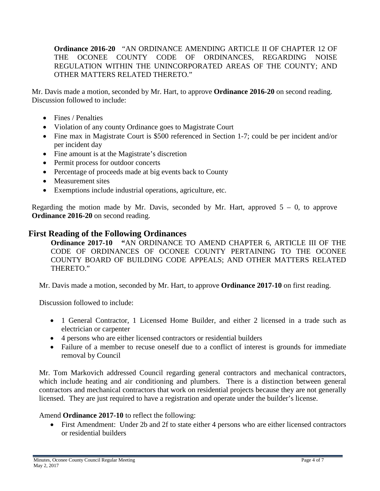**Ordinance 2016-20** "AN ORDINANCE AMENDING ARTICLE II OF CHAPTER 12 OF THE OCONEE COUNTY CODE OF ORDINANCES, REGARDING NOISE REGULATION WITHIN THE UNINCORPORATED AREAS OF THE COUNTY; AND OTHER MATTERS RELATED THERETO."

Mr. Davis made a motion, seconded by Mr. Hart, to approve **Ordinance 2016-20** on second reading. Discussion followed to include:

- Fines / Penalties
- Violation of any county Ordinance goes to Magistrate Court
- Fine max in Magistrate Court is \$500 referenced in Section 1-7; could be per incident and/or per incident day
- Fine amount is at the Magistrate's discretion
- Permit process for outdoor concerts
- Percentage of proceeds made at big events back to County
- Measurement sites
- Exemptions include industrial operations, agriculture, etc.

Regarding the motion made by Mr. Davis, seconded by Mr. Hart, approved  $5 - 0$ , to approve **Ordinance 2016-20** on second reading.

## **First Reading of the Following Ordinances**

**Ordinance 2017-10 "**AN ORDINANCE TO AMEND CHAPTER 6, ARTICLE III OF THE CODE OF ORDINANCES OF OCONEE COUNTY PERTAINING TO THE OCONEE COUNTY BOARD OF BUILDING CODE APPEALS; AND OTHER MATTERS RELATED THERETO."

Mr. Davis made a motion, seconded by Mr. Hart, to approve **Ordinance 2017-10** on first reading.

Discussion followed to include:

- 1 General Contractor, 1 Licensed Home Builder, and either 2 licensed in a trade such as electrician or carpenter
- 4 persons who are either licensed contractors or residential builders
- Failure of a member to recuse oneself due to a conflict of interest is grounds for immediate removal by Council

Mr. Tom Markovich addressed Council regarding general contractors and mechanical contractors, which include heating and air conditioning and plumbers. There is a distinction between general contractors and mechanical contractors that work on residential projects because they are not generally licensed. They are just required to have a registration and operate under the builder's license.

Amend **Ordinance 2017-10** to reflect the following:

• First Amendment: Under 2b and 2f to state either 4 persons who are either licensed contractors or residential builders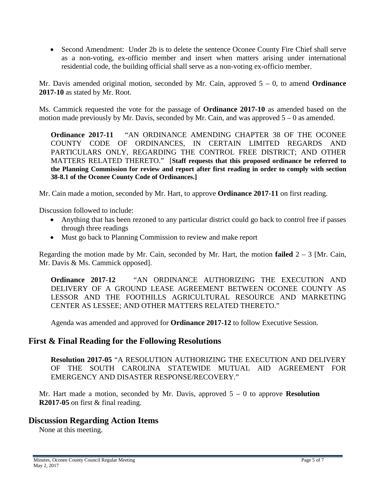• Second Amendment: Under 2b is to delete the sentence Oconee County Fire Chief shall serve as a non-voting, ex-officio member and insert when matters arising under international residential code, the building official shall serve as a non-voting ex-officio member.

Mr. Davis amended original motion, seconded by Mr. Cain, approved 5 – 0, to amend **Ordinance 2017-10** as stated by Mr. Root.

Ms. Cammick requested the vote for the passage of **Ordinance 2017-10** as amended based on the motion made previously by Mr. Davis, seconded by Mr. Cain, and was approved  $5 - 0$  as amended.

**Ordinance 2017-11** "AN ORDINANCE AMENDING CHAPTER 38 OF THE OCONEE COUNTY CODE OF ORDINANCES, IN CERTAIN LIMITED REGARDS AND PARTICULARS ONLY, REGARDING THE CONTROL FREE DISTRICT; AND OTHER MATTERS RELATED THERETO." [**Staff requests that this proposed ordinance be referred to the Planning Commission for review and report after first reading in order to comply with section 38-8.1 of the Oconee County Code of Ordinances.]**

Mr. Cain made a motion, seconded by Mr. Hart, to approve **Ordinance 2017-11** on first reading.

Discussion followed to include:

- Anything that has been rezoned to any particular district could go back to control free if passes through three readings
- Must go back to Planning Commission to review and make report

Regarding the motion made by Mr. Cain, seconded by Mr. Hart, the motion **failed**  $2 - 3$  [Mr. Cain, Mr. Davis & Ms. Cammick opposed].

**Ordinance 2017-12** "AN ORDINANCE AUTHORIZING THE EXECUTION AND DELIVERY OF A GROUND LEASE AGREEMENT BETWEEN OCONEE COUNTY AS LESSOR AND THE FOOTHILLS AGRICULTURAL RESOURCE AND MARKETING CENTER AS LESSEE; AND OTHER MATTERS RELATED THERETO."

Agenda was amended and approved for **Ordinance 2017-12** to follow Executive Session.

## **First & Final Reading for the Following Resolutions**

**Resolution 2017-05** "A RESOLUTION AUTHORIZING THE EXECUTION AND DELIVERY OF THE SOUTH CAROLINA STATEWIDE MUTUAL AID AGREEMENT FOR EMERGENCY AND DISASTER RESPONSE/RECOVERY."

Mr. Hart made a motion, seconded by Mr. Davis, approved 5 – 0 to approve **Resolution R2017-05** on first & final reading.

## **Discussion Regarding Action Items**

None at this meeting.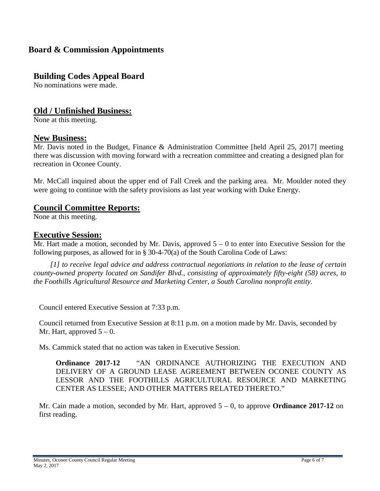# **Board & Commission Appointments**

# **Building Codes Appeal Board**

No nominations were made.

## **Old / Unfinished Business:**

None at this meeting.

**New Business:** Mr. Davis noted in the Budget, Finance & Administration Committee [held April 25, 2017] meeting there was discussion with moving forward with a recreation committee and creating a designed plan for recreation in Oconee County.

Mr. McCall inquired about the upper end of Fall Creek and the parking area. Mr. Moulder noted they were going to continue with the safety provisions as last year working with Duke Energy.

### **Council Committee Reports:**

None at this meeting.

### **Executive Session:**

Mr. Hart made a motion, seconded by Mr. Davis, approved  $5 - 0$  to enter into Executive Session for the following purposes, as allowed for in § 30-4-70(a) of the South Carolina Code of Laws:

 *[1] to receive legal advice and address contractual negotiations in relation to the lease of certain county-owned property located on Sandifer Blvd., consisting of approximately fifty-eight (58) acres, to the Foothills Agricultural Resource and Marketing Center, a South Carolina nonprofit entity.*

Council entered Executive Session at 7:33 p.m.

Council returned from Executive Session at 8:11 p.m. on a motion made by Mr. Davis, seconded by Mr. Hart, approved  $5 - 0$ .

Ms. Cammick stated that no action was taken in Executive Session.

**Ordinance 2017-12** "AN ORDINANCE AUTHORIZING THE EXECUTION AND DELIVERY OF A GROUND LEASE AGREEMENT BETWEEN OCONEE COUNTY AS LESSOR AND THE FOOTHILLS AGRICULTURAL RESOURCE AND MARKETING CENTER AS LESSEE; AND OTHER MATTERS RELATED THERETO."

Mr. Cain made a motion, seconded by Mr. Hart, approved 5 – 0, to approve **Ordinance 2017-12** on first reading.